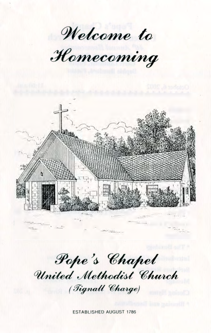**Welcome to**

*H o m e c o m in g*



**Pope's Chapel** United Methodist Church *( T i g n a l l C h a r g e )*

ESTABLISHED AUGUST 1786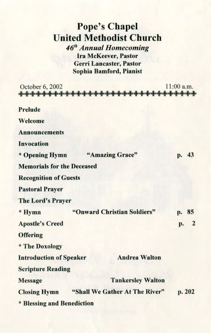## **Pope's Chapel United Methodist Church**

*46th Annual Homecoming* **Ira McKeever, Pastor Gerri Lancaster, Pastor Sophia Bamford, Pianist**

| October 6, 2002                                       |                             |                          | 11:00 a.m. |    |
|-------------------------------------------------------|-----------------------------|--------------------------|------------|----|
| <b>Prelude</b>                                        |                             |                          |            |    |
| Welcome                                               |                             |                          |            |    |
| <b>Announcements</b>                                  |                             |                          |            |    |
| <b>Invocation</b>                                     |                             |                          |            |    |
| * Opening Hymn                                        |                             | "Amazing Grace"          | p. 43      |    |
| <b>Memorials for the Deceased</b>                     |                             |                          |            |    |
| <b>Recognition of Guests</b>                          |                             |                          |            |    |
| <b>Pastoral Prayer</b>                                |                             |                          |            |    |
| The Lord's Prayer                                     |                             |                          |            |    |
| * Hymn                                                | "Onward Christian Soldiers" |                          | p.         | 85 |
| <b>Apostle's Creed</b>                                |                             |                          | p.         | 2  |
| <b>Offering</b>                                       |                             |                          |            |    |
| * The Doxology                                        |                             |                          |            |    |
| <b>Introduction of Speaker</b>                        |                             | <b>Andrea Walton</b>     |            |    |
| <b>Scripture Reading</b>                              |                             |                          |            |    |
| <b>Message</b>                                        |                             | <b>Tankersley Walton</b> |            |    |
| "Shall We Gather At The River"<br><b>Closing Hymn</b> |                             |                          | p. 202     |    |
| * Blessing and Benediction                            |                             |                          |            |    |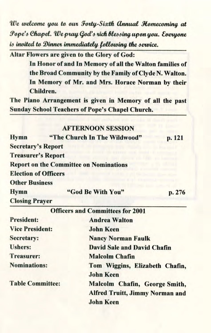*We welcome you to our Forty-Sixth Annual Homecoming at Pope's Chapel. We pray God's rich blessing upon you. Everyone is invited to Dinner immediately, following the service.*

**Altar Flowers are given to the Glory of God:**

**In Honor of and In Memory of all the Walton families of the Broad Community by the Family of Clyde N. Walton. In Memory of Mr. and Mrs. Horace Norman by their Children.**

**The Piano Arrangement is given in Memory of all the past Sunday School Teachers of Pope's Chapel Church.**

## **AFTERNOON SESSION**

| <b>Hymn</b>                 | "The Church In The Wildwood"                  | p. 121 |
|-----------------------------|-----------------------------------------------|--------|
| <b>Secretary's Report</b>   |                                               |        |
| <b>Treasurer's Report</b>   |                                               |        |
|                             | <b>Report on the Committee on Nominations</b> |        |
| <b>Election of Officers</b> |                                               |        |
| <b>Other Business</b>       |                                               |        |
| <b>Hymn</b>                 | "God Be With You"                             | p. 276 |
| <b>Closing Prayer</b>       |                                               |        |

|                         | <b>Officers and Committees for 2001</b>                                                     |
|-------------------------|---------------------------------------------------------------------------------------------|
| <b>President:</b>       | <b>Andrea Walton</b>                                                                        |
| <b>Vice President:</b>  | <b>John Keen</b>                                                                            |
| Secretary:              | <b>Nancy Norman Faulk</b>                                                                   |
| <b>Ushers:</b>          | <b>David Sale and David Chafin</b>                                                          |
| <b>Treasurer:</b>       | <b>Malcolm Chafin</b>                                                                       |
| <b>Nominations:</b>     | Tom Wiggins, Elizabeth Chafin,<br><b>John Keen</b>                                          |
| <b>Table Committee:</b> | Malcolm Chafin, George Smith,<br><b>Alfred Truitt, Jimmy Norman and</b><br><b>John Keen</b> |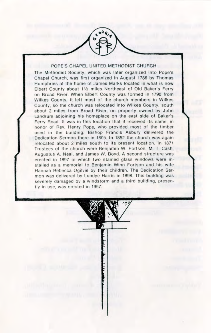## POPE'S CHAPEL UNITED METHODIST CHURCH

The Methodist Society, which was later organized into Pope's Chapel Church, was first organized in August 1786 by Thomas Humphries at the home of James Marks located in what is now Elbert County about 11/2 miles Northeast of Old Baker's Ferry on Broad River. When Elbert County was formed in 1790 from Wilkes County, it left most of the church members in Wilkes County, so the church was relocated into Wilkes County, south about 2 miles from Broad River, on property owned by John Landrum adjoining his homeplace on the east side of Baker's Ferry Road. It was in this location that it received its name, in honor of Rev. Henry Pope, who provided most of the timber used in the building. Bishop Francis Asbury delivered the Dedication Sermon there in 1805. In 1852 the church was again relocated about 2 miles south to its present location. In 1871 Trustees of the church were Benjamin W. Fortson, M. T. Cash, Augustus A. Neal, and James W. Boyd. A second structure was erected in 1897 in which two stained glass windows were installed as a memorial to Benjamin Winn Fortson and his wife Hannah Rebecca Ogilvie by their children. The Dedication Sermon was delivered by Lundye Harris in 1898. This building was severely damaged by a windstorm and a third building, presently in use, was erected in 1957.

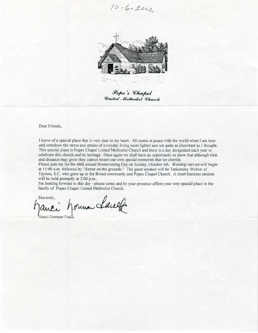$10 - 6 - 2002$ 



Pope's Chapel United Methodist Church

Dear Friends,

I know of a special place that is very dear to my heart. All seems at peace with the world when I am here and somehow the stress and strains of everyday living seem lighter and not quite as important as I thought. This special place is Popes Chapel United Methodist Church and there is a day designated each year to celebrate this church and its heritage. Once again we shall have an opportunity to show that although time and distance may grow they cannot lessen our own special memories that we cherish.

Please join me for the 46th annual Homecoming Day on Sunday, October 6th. Worship service will begin at 11:00 a.m. followed by "dinner on the grounds." The guest speaker will be Tankersley Walton of Taylors, S.C. who grew up in the Broad community and Popes Chapel Church. A short business session will be held promptly at 2:00 p.m..

I'm looking forward to this day - please come and by your presence affirm your own special place in the family of Popes Chapel United Methodist Church.

Sincerely, anci horman Lauette